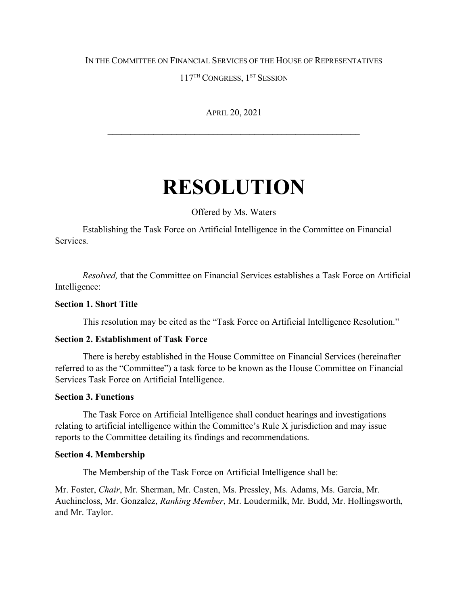## IN THE COMMITTEE ON FINANCIAL SERVICES OF THE HOUSE OF REPRESENTATIVES

117<sup>TH</sup> CONGRESS, 1<sup>ST</sup> SESSION

APRIL 20, 2021

**\_\_\_\_\_\_\_\_\_\_\_\_\_\_\_\_\_\_\_\_\_\_\_\_\_\_\_\_\_\_\_\_\_\_\_\_\_\_\_\_\_\_\_\_\_\_\_\_\_\_\_\_\_\_\_**

# **RESOLUTION**

Offered by Ms. Waters

Establishing the Task Force on Artificial Intelligence in the Committee on Financial Services.

*Resolved,* that the Committee on Financial Services establishes a Task Force on Artificial Intelligence:

## **Section 1. Short Title**

This resolution may be cited as the "Task Force on Artificial Intelligence Resolution."

#### **Section 2. Establishment of Task Force**

There is hereby established in the House Committee on Financial Services (hereinafter referred to as the "Committee") a task force to be known as the House Committee on Financial Services Task Force on Artificial Intelligence.

#### **Section 3. Functions**

The Task Force on Artificial Intelligence shall conduct hearings and investigations relating to artificial intelligence within the Committee's Rule X jurisdiction and may issue reports to the Committee detailing its findings and recommendations.

#### **Section 4. Membership**

The Membership of the Task Force on Artificial Intelligence shall be:

Mr. Foster, *Chair*, Mr. Sherman, Mr. Casten, Ms. Pressley, Ms. Adams, Ms. Garcia, Mr. Auchincloss, Mr. Gonzalez, *Ranking Member*, Mr. Loudermilk, Mr. Budd, Mr. Hollingsworth, and Mr. Taylor.